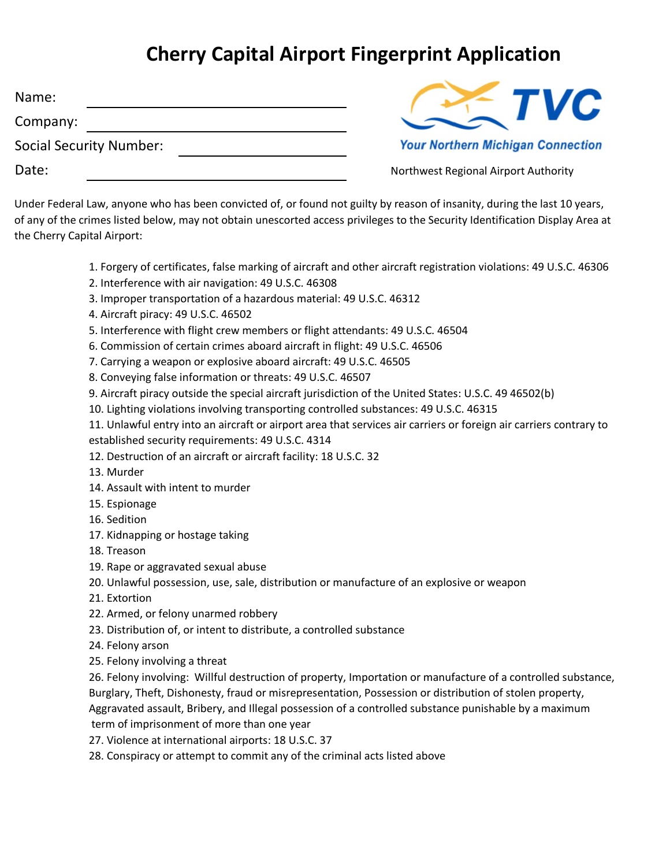## **Cherry Capital Airport Fingerprint Application**

| Name:                          |  |
|--------------------------------|--|
| Company:                       |  |
| <b>Social Security Number:</b> |  |
| Date:                          |  |



Northwest Regional Airport Authority

Under Federal Law, anyone who has been convicted of, or found not guilty by reason of insanity, during the last 10 years, of any of the crimes listed below, may not obtain unescorted access privileges to the Security Identification Display Area at the Cherry Capital Airport:

- 1. Forgery of certificates, false marking of aircraft and other aircraft registration violations: 49 U.S.C. 46306
- 2. Interference with air navigation: 49 U.S.C. 46308
- 3. Improper transportation of a hazardous material: 49 U.S.C. 46312
- 4. Aircraft piracy: 49 U.S.C. 46502
- 5. Interference with flight crew members or flight attendants: 49 U.S.C. 46504
- 6. Commission of certain crimes aboard aircraft in flight: 49 U.S.C. 46506
- 7. Carrying a weapon or explosive aboard aircraft: 49 U.S.C. 46505
- 8. Conveying false information or threats: 49 U.S.C. 46507
- 9. Aircraft piracy outside the special aircraft jurisdiction of the United States: U.S.C. 49 46502(b)
- 10. Lighting violations involving transporting controlled substances: 49 U.S.C. 46315
- 11. Unlawful entry into an aircraft or airport area that services air carriers or foreign air carriers contrary to established security requirements: 49 U.S.C. 4314
- 12. Destruction of an aircraft or aircraft facility: 18 U.S.C. 32
- 13. Murder
- 14. Assault with intent to murder
- 15. Espionage
- 16. Sedition
- 17. Kidnapping or hostage taking
- 18. Treason
- 19. Rape or aggravated sexual abuse
- 20. Unlawful possession, use, sale, distribution or manufacture of an explosive or weapon
- 21. Extortion
- 22. Armed, or felony unarmed robbery
- 23. Distribution of, or intent to distribute, a controlled substance
- 24. Felony arson
- 25. Felony involving a threat
- 26. Felony involving: Willful destruction of property, Importation or manufacture of a controlled substance, Burglary, Theft, Dishonesty, fraud or misrepresentation, Possession or distribution of stolen property,

Aggravated assault, Bribery, and Illegal possession of a controlled substance punishable by a maximum term of imprisonment of more than one year

- 27. Violence at international airports: 18 U.S.C. 37
- 28. Conspiracy or attempt to commit any of the criminal acts listed above